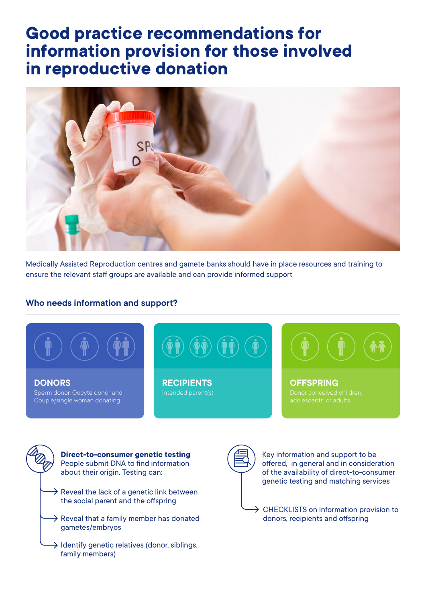#### **Good practice recommendations for information provision for those involved in reproductive donation**



Medically Assisted Reproduction centres and gamete banks should have in place resources and training to ensure the relevant staff groups are available and can provide informed support

#### **Who needs information and support?**



**Direct-to-consumer genetic testing** People submit DNA to find information about their origin. Testing can:

- $\rightarrow$  Reveal the lack of a genetic link between the social parent and the offspring
- $\rightarrow$  Reveal that a family member has donated gametes/embryos
- $\rightarrow$  Identify genetic relatives (donor, siblings, family members)



Key information and support to be offered, in general and in consideration of the availability of direct-to-consumer genetic testing and matching services

 $\rightarrow$  CHECKLISTS on information provision to donors, recipients and offspring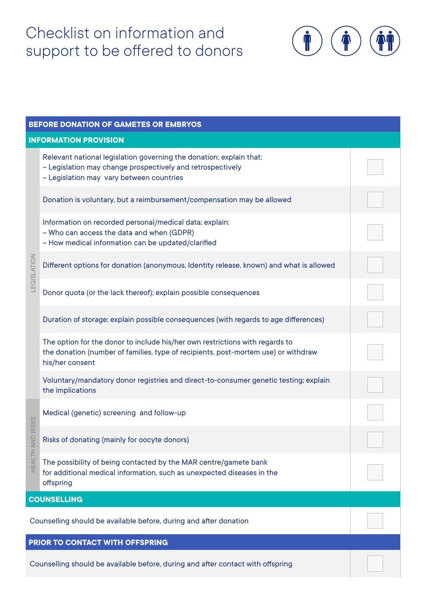## Checklist on information and support to be offered to donors



| BEFORE DONATION OF GAMETES OR EMBRYOS                                           |                                                                                                                                                                                       |  |  |  |
|---------------------------------------------------------------------------------|---------------------------------------------------------------------------------------------------------------------------------------------------------------------------------------|--|--|--|
| <b>INFORMATION PROVISION</b>                                                    |                                                                                                                                                                                       |  |  |  |
| LEGISLATION                                                                     | Relevant national legislation governing the donation; explain that:<br>- Legislation may change prospectively and retrospectively<br>- Legislation may vary between countries         |  |  |  |
|                                                                                 | Donation is voluntary, but a reimbursement/compensation may be allowed                                                                                                                |  |  |  |
|                                                                                 | Information on recorded personal/medical data; explain:<br>- Who can access the data and when (GDPR)<br>- How medical information can be updated/clarified                            |  |  |  |
|                                                                                 | Different options for donation (anonymous, Identity release, known) and what is allowed                                                                                               |  |  |  |
|                                                                                 | Donor quota (or the lack thereof); explain possible consequences                                                                                                                      |  |  |  |
|                                                                                 | Duration of storage; explain possible consequences (with regards to age differences)                                                                                                  |  |  |  |
|                                                                                 | The option for the donor to include his/her own restrictions with regards to<br>the donation (number of families, type of recipients, post-mortem use) or withdraw<br>his/her consent |  |  |  |
|                                                                                 | Voluntary/mandatory donor registries and direct-to-consumer genetic testing; explain<br>the implications                                                                              |  |  |  |
| <b>RISKS</b><br>HEALTH AND                                                      | Medical (genetic) screening and follow-up                                                                                                                                             |  |  |  |
|                                                                                 | Risks of donating (mainly for oocyte donors)                                                                                                                                          |  |  |  |
|                                                                                 | The possibility of being contacted by the MAR centre/gamete bank<br>for additional medical information, such as unexpected diseases in the<br>offspring                               |  |  |  |
|                                                                                 | <b>COUNSELLING</b>                                                                                                                                                                    |  |  |  |
| Counselling should be available before, during and after donation               |                                                                                                                                                                                       |  |  |  |
| PRIOR TO CONTACT WITH OFFSPRING                                                 |                                                                                                                                                                                       |  |  |  |
| Counselling should be available before, during and after contact with offspring |                                                                                                                                                                                       |  |  |  |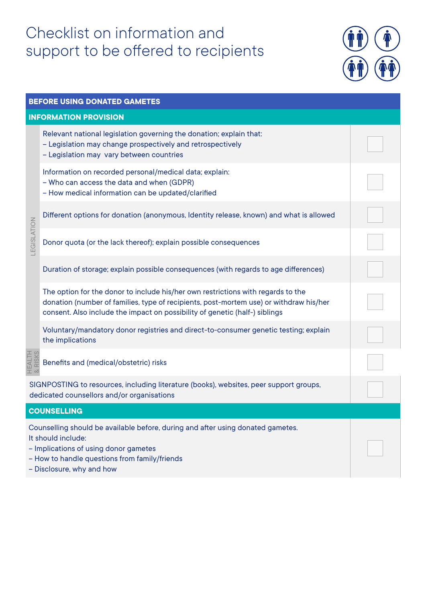## Checklist on information and support to be offered to recipients



| BEFORE USING DONATED GAMETES                                                                                                                                                                                                 |                                                                                                                                                                                                                                                           |  |  |  |  |
|------------------------------------------------------------------------------------------------------------------------------------------------------------------------------------------------------------------------------|-----------------------------------------------------------------------------------------------------------------------------------------------------------------------------------------------------------------------------------------------------------|--|--|--|--|
|                                                                                                                                                                                                                              | <b>INFORMATION PROVISION</b>                                                                                                                                                                                                                              |  |  |  |  |
| LEGISLATION                                                                                                                                                                                                                  | Relevant national legislation governing the donation; explain that:<br>- Legislation may change prospectively and retrospectively<br>- Legislation may vary between countries                                                                             |  |  |  |  |
|                                                                                                                                                                                                                              | Information on recorded personal/medical data; explain:<br>- Who can access the data and when (GDPR)<br>- How medical information can be updated/clarified                                                                                                |  |  |  |  |
|                                                                                                                                                                                                                              | Different options for donation (anonymous, Identity release, known) and what is allowed                                                                                                                                                                   |  |  |  |  |
|                                                                                                                                                                                                                              | Donor quota (or the lack thereof); explain possible consequences                                                                                                                                                                                          |  |  |  |  |
|                                                                                                                                                                                                                              | Duration of storage; explain possible consequences (with regards to age differences)                                                                                                                                                                      |  |  |  |  |
|                                                                                                                                                                                                                              | The option for the donor to include his/her own restrictions with regards to the<br>donation (number of families, type of recipients, post-mortem use) or withdraw his/her<br>consent. Also include the impact on possibility of genetic (half-) siblings |  |  |  |  |
|                                                                                                                                                                                                                              | Voluntary/mandatory donor registries and direct-to-consumer genetic testing; explain<br>the implications                                                                                                                                                  |  |  |  |  |
| HEALTH<br>& RISKS                                                                                                                                                                                                            | Benefits and (medical/obstetric) risks                                                                                                                                                                                                                    |  |  |  |  |
| SIGNPOSTING to resources, including literature (books), websites, peer support groups,<br>dedicated counsellors and/or organisations                                                                                         |                                                                                                                                                                                                                                                           |  |  |  |  |
|                                                                                                                                                                                                                              | <b>COUNSELLING</b>                                                                                                                                                                                                                                        |  |  |  |  |
| Counselling should be available before, during and after using donated gametes.<br>It should include:<br>- Implications of using donor gametes<br>- How to handle questions from family/friends<br>- Disclosure, why and how |                                                                                                                                                                                                                                                           |  |  |  |  |